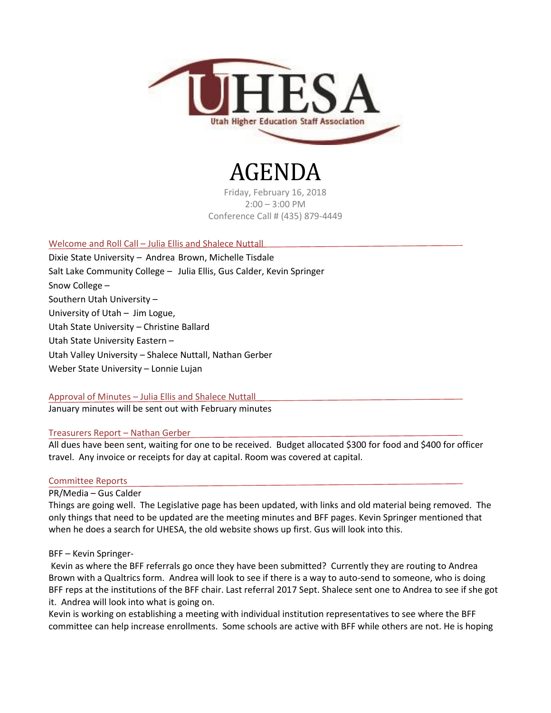

# AGENDA

Friday, February 16, 2018  $2:00 - 3:00$  PM Conference Call # (435) 879-4449

# Welcome and Roll Call – Julia Ellis and Shalece Nuttall

Dixie State University – Andrea Brown, Michelle Tisdale Salt Lake Community College – Julia Ellis, Gus Calder, Kevin Springer Snow College – Southern Utah University – University of Utah – Jim Logue, Utah State University – Christine Ballard Utah State University Eastern – Utah Valley University – Shalece Nuttall, Nathan Gerber Weber State University – Lonnie Lujan

Approval of Minutes – Julia Ellis and Shalece Nuttall January minutes will be sent out with February minutes

# Treasurers Report – Nathan Gerber

All dues have been sent, waiting for one to be received. Budget allocated \$300 for food and \$400 for officer travel. Any invoice or receipts for day at capital. Room was covered at capital.

#### Committee Reports

PR/Media – Gus Calder

Things are going well. The Legislative page has been updated, with links and old material being removed. The only things that need to be updated are the meeting minutes and BFF pages. Kevin Springer mentioned that when he does a search for UHESA, the old website shows up first. Gus will look into this.

#### BFF – Kevin Springer-

Kevin as where the BFF referrals go once they have been submitted? Currently they are routing to Andrea Brown with a Qualtrics form. Andrea will look to see if there is a way to auto-send to someone, who is doing BFF reps at the institutions of the BFF chair. Last referral 2017 Sept. Shalece sent one to Andrea to see if she got it. Andrea will look into what is going on.

Kevin is working on establishing a meeting with individual institution representatives to see where the BFF committee can help increase enrollments. Some schools are active with BFF while others are not. He is hoping